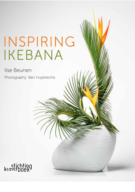## INSPIRING IKEBANA

## Ilse Beunen

Photography: Ben Huybrechts

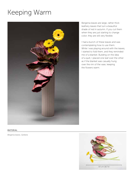## Keeping Warm



Bergenia leaves are large, rather thick leathery leaves that turn a beautiful shade of red in autumn. If you cut them when they are just starting to change color, they are still very flexible.

I had a bunch of these leaves and was contemplating how to use them. While I was playing around with the leaves, I started to fold them, and they reminded me of a blanket. Building on the idea of a quilt, I placed one leaf over the other as if the blanket was casually hung over the rim of the vase, keeping the flowers warm.

## MATERIAL

*Bergenia leaves, Gerbera*